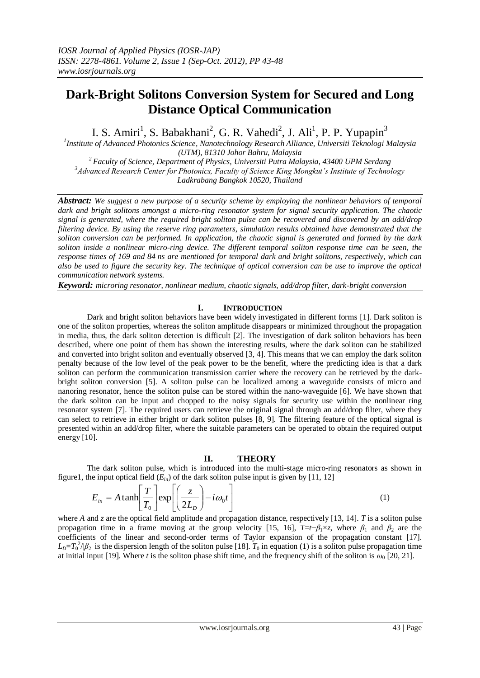# **Dark-Bright Solitons Conversion System for Secured and Long Distance Optical Communication**

I. S. Amiri<sup>1</sup>, S. Babakhani<sup>2</sup>, G. R. Vahedi<sup>2</sup>, J. Ali<sup>1</sup>, P. P. Yupapin<sup>3</sup>

*1 Institute of Advanced Photonics Science, Nanotechnology Research Alliance, Universiti Teknologi Malaysia (UTM), 81310 Johor Bahru, Malaysia*

*<sup>2</sup> Faculty of Science, Department of Physics, [Universiti Putra Malaysia,](http://www.google.com.my/url?sa=t&rct=j&q=&esrc=s&source=web&cd=1&sqi=2&ved=0CFgQFjAA&url=http%3A%2F%2Fwww.upm.my%2F&ei=_gwIUI_YJJGzrAePvJntAg&usg=AFQjCNHERM4qN2Ch3ihKQDQVUvVSxYTiKQ&sig2=ttcZ6mCLTAdRc5UyKMiOHQ) 43400 UPM Serdang <sup>3</sup>Advanced Research Center for Photonics, Faculty of Science King Mongkut's Institute of Technology Ladkrabang Bangkok 10520, Thailand*

*Abstract: We suggest a new purpose of a security scheme by employing the nonlinear behaviors of temporal dark and bright solitons amongst a micro-ring resonator system for signal security application. The chaotic signal is generated, where the required bright soliton pulse can be recovered and discovered by an add/drop filtering device. By using the reserve ring parameters, simulation results obtained have demonstrated that the soliton conversion can be performed. In application, the chaotic signal is generated and formed by the dark soliton inside a nonlinear micro-ring device. The different temporal soliton response time can be seen, the response times of 169 and 84 ns are mentioned for temporal dark and bright solitons, respectively, which can also be used to figure the security key. The technique of optical conversion can be use to improve the optical communication network systems.*

*Keyword: microring resonator, nonlinear medium, chaotic signals, add/drop filter, dark-bright conversion*

## **I. INTRODUCTION**

Dark and bright soliton behaviors have been widely investigated in different forms [1]. Dark soliton is one of the soliton properties, whereas the soliton amplitude disappears or minimized throughout the propagation in media, thus, the dark soliton detection is difficult [2]. The investigation of dark soliton behaviors has been described, where one point of them has shown the interesting results, where the dark soliton can be stabilized and converted into bright soliton and eventually observed [3, 4]. This means that we can employ the dark soliton penalty because of the low level of the peak power to be the benefit, where the predicting idea is that a dark soliton can perform the communication transmission carrier where the recovery can be retrieved by the darkbright soliton conversion [5]. A soliton pulse can be localized among a waveguide consists of micro and nanoring resonator, hence the soliton pulse can be stored within the nano-waveguide [6]. We have shown that the dark soliton can be input and chopped to the noisy signals for security use within the nonlinear ring resonator system [7]. The required users can retrieve the original signal through an add/drop filter, where they can select to retrieve in either bright or dark soliton pulses [8, 9]. The filtering feature of the optical signal is presented within an add/drop filter, where the suitable parameters can be operated to obtain the required output energy [10].

### **II. THEORY**

The dark soliton pulse, which is introduced into the multi-stage micro-ring resonators as shown in figure1, the input optical field  $(E_{in})$  of the dark soliton pulse input is given by [11, 12]

$$
E_{in} = A \tanh\left[\frac{T}{T_0}\right] \exp\left[\left(\frac{z}{2L_D}\right) - i\omega_0 t\right]
$$
 (1)

where *A* and *z* are the optical field amplitude and propagation distance, respectively [13, 14]. *T* is a soliton pulse propagation time in a frame moving at the group velocity [15, 16],  $T=t-\beta_1\times z$ , where  $\beta_1$  and  $\beta_2$  are the coefficients of the linear and second-order terms of Taylor expansion of the propagation constant [17].  $L_D=T_0^2/\beta_2$  is the dispersion length of the soliton pulse [18]. *T*<sub>0</sub> in equation (1) is a soliton pulse propagation time at initial input [19]. Where *t* is the soliton phase shift time, and the frequency shift of the soliton is  $\omega_0$  [20, 21].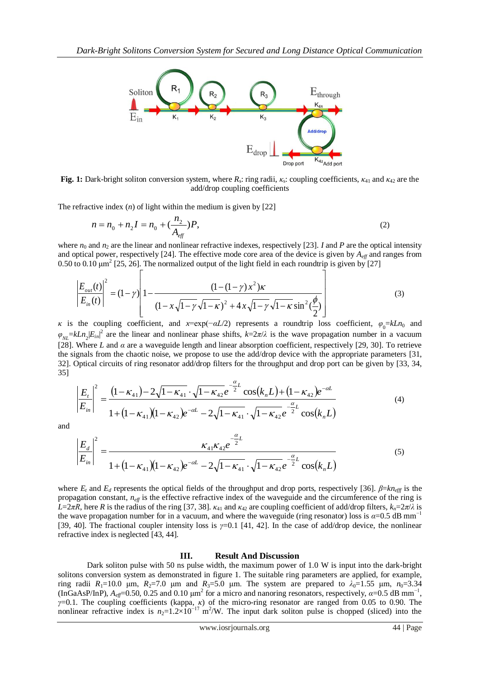

Fig. 1: Dark-bright soliton conversion system, where  $R_s$ : ring radii,  $\kappa_s$ : coupling coefficients,  $\kappa_{41}$  and  $\kappa_{42}$  are the add/drop coupling coefficients

The refractive index  $(n)$  of light within the medium is given by  $[22]$ 

Г

$$
n = n_0 + n_2 I = n_0 + \left(\frac{n_2}{A_{\text{eff}}}\right) P,\tag{2}
$$

where  $n_0$  and  $n_2$  are the linear and nonlinear refractive indexes, respectively [23]. *I* and *P* are the optical intensity and optical power, respectively [24]. The effective mode core area of the device is given by  $A_{\text{eff}}$  and ranges from 0.50 to 0.10  $\mu$ m<sup>2</sup> [25, 26]. The normalized output of the light field in each roundtrip is given by [27]

$$
\left| \frac{E_{out}(t)}{E_{in}(t)} \right|^2 = (1 - \gamma) \left| 1 - \frac{(1 - (1 - \gamma) x^2) \kappa}{(1 - x \sqrt{1 - \gamma} \sqrt{1 - \kappa})^2 + 4 x \sqrt{1 - \gamma} \sqrt{1 - \kappa} \sin^2(\frac{\phi}{2})} \right| \tag{3}
$$

*κ* is the coupling coefficient, and *x*=exp(−*αL*/2) represents a roundtrip loss coefficient,  $\varphi_0 = kLn_0$  and  $\varphi_{NL} = kLn_2|E_{in}|^2$  are the linear and nonlinear phase shifts,  $k=2\pi/\lambda$  is the wave propagation number in a vacuum [28]. Where *L* and *α* are a waveguide length and linear absorption coefficient, respectively [29, 30]. To retrieve the signals from the chaotic noise, we propose to use the add/drop device with the appropriate parameters [31, 32]. Optical circuits of ring resonator add/drop filters for the throughput and drop port can be given by [33, 34, 35]

$$
\left|\frac{E_{t}}{E_{in}}\right|^{2} = \frac{\left(1 - \kappa_{41}\right) - 2\sqrt{1 - \kappa_{41}} \cdot \sqrt{1 - \kappa_{42}} e^{-\frac{\alpha}{2}L} \cos(k_{n}L) + \left(1 - \kappa_{42}\right) e^{-\alpha L}}{1 + \left(1 - \kappa_{41}\right)\left(1 - \kappa_{42}\right) e^{-\alpha L} - 2\sqrt{1 - \kappa_{41}} \cdot \sqrt{1 - \kappa_{42}} e^{-\frac{\alpha}{2}L} \cos(k_{n}L) \tag{4}
$$

and

$$
\left|\frac{E_d}{E_{in}}\right|^2 = \frac{\kappa_{41}\kappa_{42}e^{-\frac{\alpha}{2}L}}{1 + (1 - \kappa_{41})(1 - \kappa_{42})e^{-\alpha L} - 2\sqrt{1 - \kappa_{41}} \cdot \sqrt{1 - \kappa_{42}}e^{-\frac{\alpha}{2}L}\cos(k_n L)}
$$
(5)

where  $E_t$  and  $E_d$  represents the optical fields of the throughput and drop ports, respectively [36].  $\beta = kn_{\text{eff}}$  is the propagation constant, *neff* is the effective refractive index of the waveguide and the circumference of the ring is *L*=2*πR*, here *R* is the radius of the ring [37, 38].  $κ_{41}$  and  $κ_{42}$  are coupling coefficient of add/drop filters,  $k_n=2π/λ$  is the wave propagation number for in a vacuum, and where the waveguide (ring resonator) loss is  $\alpha$ =0.5 dB mm<sup>-1</sup> [39, 40]. The fractional coupler intensity loss is *γ*=0.1 [41, 42]. In the case of add/drop device, the nonlinear refractive index is neglected [43, 44].

#### **III. Result And Discussion**

Dark soliton pulse with 50 ns pulse width, the maximum power of 1.0 W is input into the dark-bright solitons conversion system as demonstrated in figure 1. The suitable ring parameters are applied, for example, ring radii  $R_1=10.0$  μm,  $R_2=7.0$  μm and  $R_3=5.0$  μm. The system are prepared to  $\lambda_0=1.55$  μm,  $n_0=3.34$  $($ InGaAsP/InP),  $A_{eff}$ =0.50, 0.25 and 0.10  $\mu$ m<sup>2</sup> for a micro and nanoring resonators, respectively, *α*=0.5 dB mm<sup>-1</sup>, *γ*=0.1. The coupling coefficients (kappa, *κ*) of the micro-ring resonator are ranged from 0.05 to 0.90. The nonlinear refractive index is  $n_2=1.2\times10^{-17}$  m<sup>2</sup>/W. The input dark soliton pulse is chopped (sliced) into the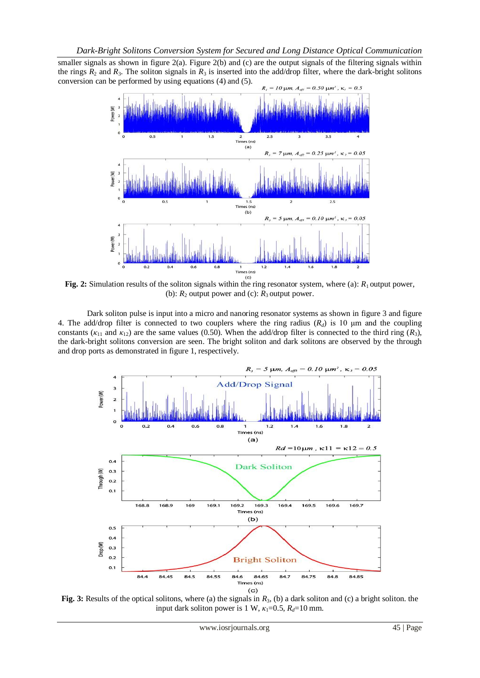smaller signals as shown in figure  $2(a)$ . Figure  $2(b)$  and (c) are the output signals of the filtering signals within the rings  $R_2$  and  $R_3$ . The soliton signals in  $R_3$  is inserted into the add/drop filter, where the dark-bright solitons conversion can be performed by using equations (4) and (5).



**Fig.** 2: Simulation results of the soliton signals within the ring resonator system, where (a):  $R_1$  output power, (b):  $R_2$  output power and (c):  $R_3$  output power.

Dark soliton pulse is input into a micro and nanoring resonator systems as shown in figure 3 and figure 4. The add/drop filter is connected to two couplers where the ring radius (*Rd*) is 10 μm and the coupling constants ( $\kappa_{11}$  and  $\kappa_{12}$ ) are the same values (0.50). When the add/drop filter is connected to the third ring ( $R_3$ ), the dark-bright solitons conversion are seen. The bright soliton and dark solitons are observed by the through and drop ports as demonstrated in figure 1, respectively.



**Fig.** 3: Results of the optical solitons, where (a) the signals in  $R_3$ , (b) a dark soliton and (c) a bright soliton. the input dark soliton power is 1 W,  $\kappa_1 = 0.5$ ,  $R_d = 10$  mm.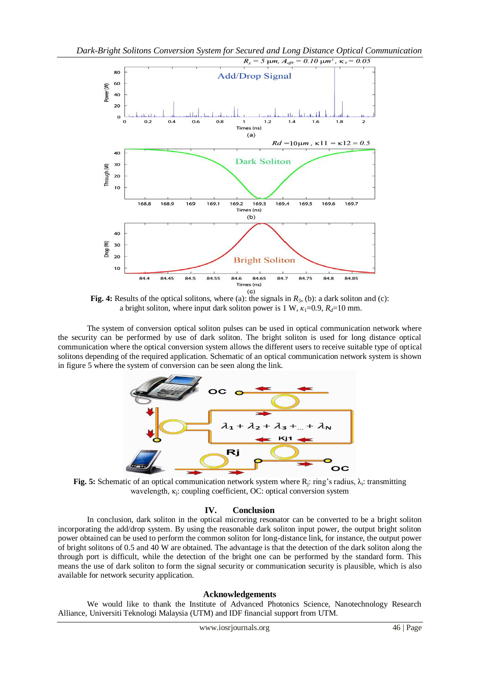

**Fig. 4:** Results of the optical solitons, where (a): the signals in  $R_3$ , (b): a dark soliton and (c): a bright soliton, where input dark soliton power is 1 W,  $\kappa_1 = 0.9$ ,  $R_d = 10$  mm.

The system of conversion optical soliton pulses can be used in optical communication network where the security can be performed by use of dark soliton. The bright soliton is used for long distance optical communication where the optical conversion system allows the different users to receive suitable type of optical solitons depending of the required application. Schematic of an optical communication network system is shown in figure 5 where the system of conversion can be seen along the link.



**Fig. 5:** Schematic of an optical communication network system where  $R_j$ : ring's radius,  $\lambda_i$ : transmitting wavelength, κ<sub>j</sub>: coupling coefficient, OC: optical conversion system

## **IV. Conclusion**

In conclusion, dark soliton in the optical microring resonator can be converted to be a bright soliton incorporating the add/drop system. By using the reasonable dark soliton input power, the output bright soliton power obtained can be used to perform the common soliton for long-distance link, for instance, the output power of bright solitons of 0.5 and 40 W are obtained. The advantage is that the detection of the dark soliton along the through port is difficult, while the detection of the bright one can be performed by the standard form. This means the use of dark soliton to form the signal security or communication security is plausible, which is also available for network security application.

## **Acknowledgements**

We would like to thank the Institute of Advanced Photonics Science, Nanotechnology Research Alliance, Universiti Teknologi Malaysia (UTM) and IDF financial support from UTM.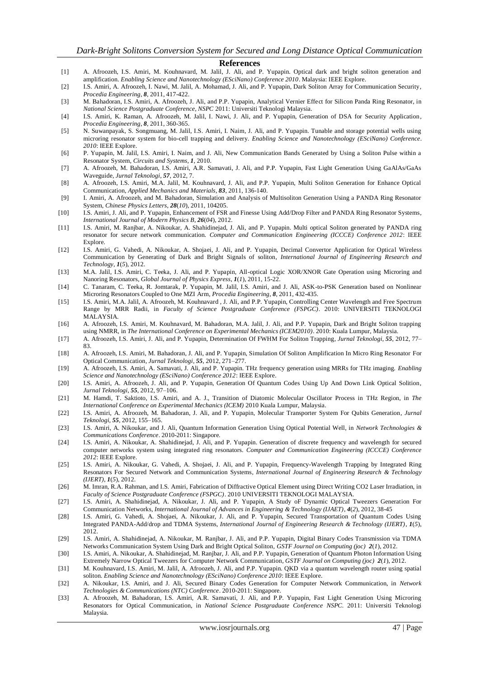#### **References**

- [1] A. Afroozeh, I.S. Amiri, M. Kouhnavard, M. Jalil, J. Ali, and P. Yupapin. Optical dark and bright soliton generation and amplification. *Enabling Science and Nanotechnology (ESciNano) Conference 2010*. Malaysia: IEEE Explore.
- [2] I.S. Amiri, A. Afroozeh, I. Nawi, M. Jalil, A. Mohamad, J. Ali, and P. Yupapin, Dark Soliton Array for Communication Security*, Procedia Engineering*, *8*, 2011, 417-422.
- [3] M. Bahadoran, I.S. Amiri, A. Afroozeh, J. Ali, and P.P. Yupapin, Analytical Vernier Effect for Silicon Panda Ring Resonator, in *National Science Postgraduate Conference, NSPC* 2011: Universiti Teknologi Malaysia.
- [4] I.S. Amiri, K. Raman, A. Afroozeh, M. Jalil, I. Nawi, J. Ali, and P. Yupapin, Generation of DSA for Security Application*, Procedia Engineering*, *8*, 2011, 360-365.
- [5] N. Suwanpayak, S. Songmuang, M. Jalil, I.S. Amiri, I. Naim, J. Ali, and P. Yupapin. Tunable and storage potential wells using microring resonator system for bio-cell trapping and delivery. *Enabling Science and Nanotechnology (ESciNano) Conference*. *2010*: IEEE Explore.
- [6] P. Yupapin, M. Jalil, I.S. Amiri, I. Naim, and J. Ali, New Communication Bands Generated by Using a Soliton Pulse within a Resonator System*, Circuits and Systems*, *1*, 2010.
- [7] A. Afroozeh, M. Bahadoran, I.S. Amiri, A.R. Samavati, J. Ali, and P.P. Yupapin, Fast Light Generation Using GaAlAs/GaAs Waveguide*, Jurnal Teknologi*, *57*, 2012, 7.
- [8] A. Afroozeh, I.S. Amiri, M.A. Jalil, M. Kouhnavard, J. Ali, and P.P. Yupapin, Multi Soliton Generation for Enhance Optical Communication*, Applied Mechanics and Materials*, *83*, 2011, 136-140.
- [9] I. Amiri, A. Afroozeh, and M. Bahadoran, Simulation and Analysis of Multisoliton Generation Using a PANDA Ring Resonator System*, Chinese Physics Letters*, *28*(*10*), 2011, 104205.
- [10] I.S. Amiri, J. Ali, and P. Yupapin, Enhancement of FSR and Finesse Using Add/Drop Filter and PANDA Ring Resonator Systems*, International Journal of Modern Physics B*, *26*(*04*), 2012.
- [11] I.S. Amiri, M. Ranjbar, A. Nikoukar, A. Shahidinejad, J. Ali, and P. Yupapin. Multi optical Soliton generated by PANDA ring resonator for secure network communication. *Computer and Communication Engineering (ICCCE) Conference 2012*: IEEE Explore.
- [12] I.S. Amiri, G. Vahedi, A. Nikoukar, A. Shojaei, J. Ali, and P. Yupapin, Decimal Convertor Application for Optical Wireless Communication by Generating of Dark and Bright Signals of soliton*, International Journal of Engineering Research and Technology*, *1*(*5*), 2012.
- [13] M.A. Jalil, I.S. Amiri, C. Teeka, J. Ali, and P. Yupapin, All-optical Logic XOR/XNOR Gate Operation using Microring and Nanoring Resonators*, Global Journal of Physics Express*, *1*(*1*), 2011, 15-22.
- [14] C. Tanaram, C. Teeka, R. Jomtarak, P. Yupapin, M. Jalil, I.S. Amiri, and J. Ali, ASK-to-PSK Generation based on Nonlinear Microring Resonators Coupled to One MZI Arm*, Procedia Engineering*, *8*, 2011, 432-435.
- [15] I.S. Amiri, M.A. Jalil, A. Afroozeh, M. Kouhnavard , J. Ali, and P.P. Yupapin, Controlling Center Wavelength and Free Spectrum Range by MRR Radii, in *Faculty of Science Postgraduate Conference (FSPGC)*. 2010: UNIVERSITI TEKNOLOGI MALAYSIA.
- [16] A. Afroozeh, I.S. Amiri, M. Kouhnavard, M. Bahadoran, M.A. Jalil, J. Ali, and P.P. Yupapin, Dark and Bright Soliton trapping using NMRR, in *The International Conference on Experimental Mechanics (ICEM2010)*. 2010: Kuala Lumpur, Malaysia.
- [17] A. Afroozeh, I.S. Amiri, J. Ali, and P. Yupapin, Determination Of FWHM For Soliton Trapping*, Jurnal Teknologi*, *55*, 2012, 77– 83.
- [18] A. Afroozeh, I.S. Amiri, M. Bahadoran, J. Ali, and P. Yupapin, Simulation Of Soliton Amplification In Micro Ring Resonator For Optical Communication*, Jurnal Teknologi*, *55*, 2012, 271–277.
- [19] A. Afroozeh, I.S. Amiri, A. Samavati, J. Ali, and P. Yupapin. THz frequency generation using MRRs for THz imaging. *Enabling Science and Nanotechnology (ESciNano) Conference 2012*: IEEE Explore.
- [20] I.S. Amiri, A. Afroozeh, J. Ali, and P. Yupapin, Generation Of Quantum Codes Using Up And Down Link Optical Solition*, Jurnal Teknologi*, *55*, 2012, 97–106.
- [21] M. Hamdi, T. Saktioto, I.S. Amiri, and A. J., Transition of Diatomic Molecular Oscillator Process in THz Region, in *The International Conference on Experimental Mechanics (ICEM)* 2010 Kuala Lumpur, Malaysia.
- [22] I.S. Amiri, A. Afroozeh, M. Bahadoran, J. Ali, and P. Yupapin, Molecular Transporter System For Qubits Generation*, Jurnal Teknologi*, *55*, 2012, 155–165.
- [23] I.S. Amiri, A. Nikoukar, and J. Ali, Quantum Information Generation Using Optical Potential Well, in *Network Technologies & Communications Conference*. 2010-2011: Singapore.
- [24] I.S. Amiri, A. Nikoukar, A. Shahidinejad, J. Ali, and P. Yupapin. Generation of discrete frequency and wavelength for secured computer networks system using integrated ring resonators. *Computer and Communication Engineering (ICCCE) Conference 2012*: IEEE Explore.
- [25] I.S. Amiri, A. Nikoukar, G. Vahedi, A. Shojaei, J. Ali, and P. Yupapin, Frequency-Wavelength Trapping by Integrated Ring Resonators For Secured Network and Communication Systems*, International Journal of Engineering Research & Technology (IJERT)*, *1*(*5*), 2012.
- [26] M. Imran, R.A. Rahman, and I.S. Amiri, Fabrication of Diffractive Optical Element using Direct Writing CO2 Laser Irradiation, in *Faculty of Science Postgraduate Conference (FSPGC)*. 2010 UNIVERSITI TEKNOLOGI MALAYSIA.
- [27] I.S. Amiri, A. Shahidinejad, A. Nikoukar, J. Ali, and P. Yupapin, A Study oF Dynamic Optical Tweezers Generation For Communication Networks*, International Journal of Advances in Engineering & Technology (IJAET)*, *4*(*2*), 2012, 38-45
- [28] I.S. Amiri, G. Vahedi, A. Shojaei, A. Nikoukar, J. Ali, and P. Yupapin, Secured Transportation of Quantum Codes Using Integrated PANDA-Add/drop and TDMA Systems*, International Journal of Engineering Research & Technology (IJERT)*, *1*(*5*), 2012.
- [29] I.S. Amiri, A. Shahidinejad, A. Nikoukar, M. Ranjbar, J. Ali, and P.P. Yupapin, Digital Binary Codes Transmission via TDMA Networks Communication System Using Dark and Bright Optical Soliton*, GSTF Journal on Computing (joc) 2*(*1*), 2012.
- [30] I.S. Amiri, A. Nikoukar, A. Shahidinejad, M. Ranjbar, J. Ali, and P.P. Yupapin, Generation of Quantum Photon Information Using Extremely Narrow Optical Tweezers for Computer Network Communication*, GSTF Journal on Computing (joc) 2*(*1*), 2012.
- [31] M. Kouhnavard, I.S. Amiri, M. Jalil, A. Afroozeh, J. Ali, and P.P. Yupapin. QKD via a quantum wavelength router using spatial soliton. *Enabling Science and Nanotechnology (ESciNano) Conference 2010*: IEEE Explore.
- [32] A. Nikoukar, I.S. Amiri, and J. Ali, Secured Binary Codes Generation for Computer Network Communication, in *Network Technologies & Communications (NTC) Conference*. 2010-2011: Singapore.
- [33] A. Afroozeh, M. Bahadoran, I.S. Amiri, A.R. Samavati, J. Ali, and P.P. Yupapin, Fast Light Generation Using Microring Resonators for Optical Communication, in *National Science Postgraduate Conference NSPC*. 2011: Universiti Teknologi Malaysia.